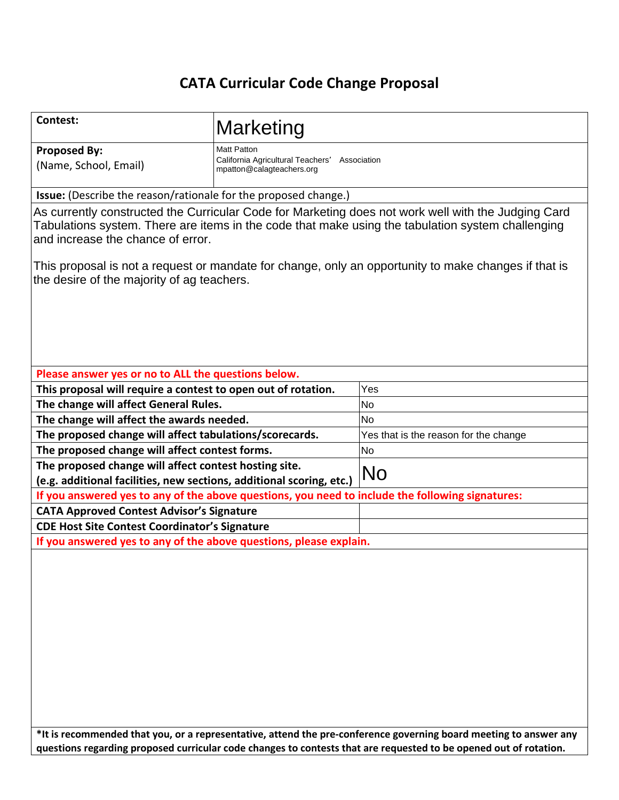# **CATA Curricular Code Change Proposal**

| Contest:                                                                                                                      | Marketing                                                                     |                                                                                                                                                                                                          |  |  |
|-------------------------------------------------------------------------------------------------------------------------------|-------------------------------------------------------------------------------|----------------------------------------------------------------------------------------------------------------------------------------------------------------------------------------------------------|--|--|
| <b>Proposed By:</b>                                                                                                           | <b>Matt Patton</b>                                                            |                                                                                                                                                                                                          |  |  |
| (Name, School, Email)                                                                                                         | California Agricultural Teachers'<br>Association<br>mpatton@calagteachers.org |                                                                                                                                                                                                          |  |  |
| <b>Issue:</b> (Describe the reason/rationale for the proposed change.)                                                        |                                                                               |                                                                                                                                                                                                          |  |  |
| and increase the chance of error.                                                                                             |                                                                               | As currently constructed the Curricular Code for Marketing does not work well with the Judging Card<br>Tabulations system. There are items in the code that make using the tabulation system challenging |  |  |
| the desire of the majority of ag teachers.                                                                                    |                                                                               | This proposal is not a request or mandate for change, only an opportunity to make changes if that is                                                                                                     |  |  |
| Please answer yes or no to ALL the questions below.                                                                           |                                                                               |                                                                                                                                                                                                          |  |  |
| This proposal will require a contest to open out of rotation.                                                                 |                                                                               | Yes                                                                                                                                                                                                      |  |  |
| The change will affect General Rules.                                                                                         |                                                                               | <b>No</b>                                                                                                                                                                                                |  |  |
| The change will affect the awards needed.                                                                                     |                                                                               | <b>No</b>                                                                                                                                                                                                |  |  |
| The proposed change will affect tabulations/scorecards.                                                                       |                                                                               | Yes that is the reason for the change                                                                                                                                                                    |  |  |
| The proposed change will affect contest forms.                                                                                |                                                                               | <b>No</b>                                                                                                                                                                                                |  |  |
| The proposed change will affect contest hosting site.<br>(e.g. additional facilities, new sections, additional scoring, etc.) |                                                                               | No                                                                                                                                                                                                       |  |  |
| If you answered yes to any of the above questions, you need to include the following signatures:                              |                                                                               |                                                                                                                                                                                                          |  |  |
| <b>CATA Approved Contest Advisor's Signature</b>                                                                              |                                                                               |                                                                                                                                                                                                          |  |  |
| <b>CDE Host Site Contest Coordinator's Signature</b>                                                                          |                                                                               |                                                                                                                                                                                                          |  |  |
| If you answered yes to any of the above questions, please explain.                                                            |                                                                               |                                                                                                                                                                                                          |  |  |
|                                                                                                                               |                                                                               | *It is recommended that you, or a representative, attend the pre-conference governing board meeting to answer any                                                                                        |  |  |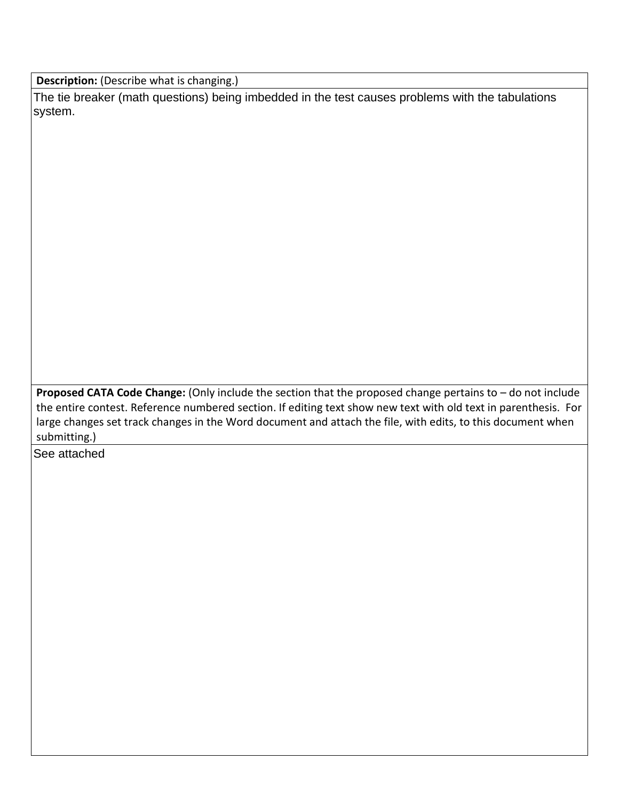**Description:** (Describe what is changing.)

The tie breaker (math questions) being imbedded in the test causes problems with the tabulations system.

**Proposed CATA Code Change:** (Only include the section that the proposed change pertains to – do not include the entire contest. Reference numbered section. If editing text show new text with old text in parenthesis. For large changes set track changes in the Word document and attach the file, with edits, to this document when submitting.)

See attached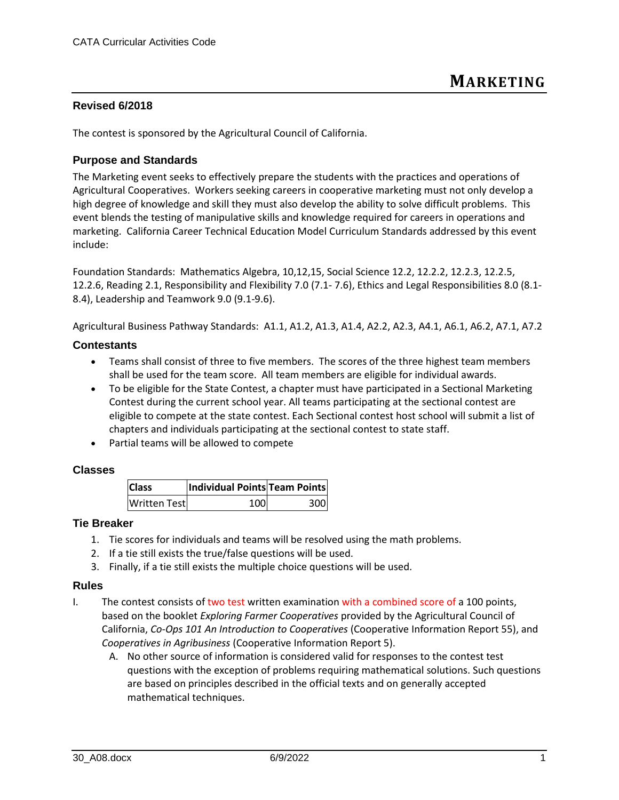## **Revised 6/2018**

The contest is sponsored by the Agricultural Council of California.

## **Purpose and Standards**

The Marketing event seeks to effectively prepare the students with the practices and operations of Agricultural Cooperatives. Workers seeking careers in cooperative marketing must not only develop a high degree of knowledge and skill they must also develop the ability to solve difficult problems. This event blends the testing of manipulative skills and knowledge required for careers in operations and marketing. California Career Technical Education Model Curriculum Standards addressed by this event include:

Foundation Standards: Mathematics Algebra, 10,12,15, Social Science 12.2, 12.2.2, 12.2.3, 12.2.5, 12.2.6, Reading 2.1, Responsibility and Flexibility 7.0 (7.1- 7.6), Ethics and Legal Responsibilities 8.0 (8.1- 8.4), Leadership and Teamwork 9.0 (9.1-9.6).

Agricultural Business Pathway Standards: A1.1, A1.2, A1.3, A1.4, A2.2, A2.3, A4.1, A6.1, A6.2, A7.1, A7.2

## **Contestants**

- Teams shall consist of three to five members. The scores of the three highest team members shall be used for the team score. All team members are eligible for individual awards.
- To be eligible for the State Contest, a chapter must have participated in a Sectional Marketing Contest during the current school year. All teams participating at the sectional contest are eligible to compete at the state contest. Each Sectional contest host school will submit a list of chapters and individuals participating at the sectional contest to state staff.
- Partial teams will be allowed to compete

### **Classes**

| <b>Class</b>        | Individual Points Team Points |     |
|---------------------|-------------------------------|-----|
| <b>Written Test</b> | 100                           | 300 |

### **Tie Breaker**

- 1. Tie scores for individuals and teams will be resolved using the math problems.
- 2. If a tie still exists the true/false questions will be used.
- 3. Finally, if a tie still exists the multiple choice questions will be used.

### **Rules**

- I. The contest consists of two test written examination with a combined score of a 100 points, based on the booklet *Exploring Farmer Cooperatives* provided by the Agricultural Council of California, *Co-Ops 101 An Introduction to Cooperatives* (Cooperative Information Report 55), and *Cooperatives in Agribusiness* (Cooperative Information Report 5).
	- A. No other source of information is considered valid for responses to the contest test questions with the exception of problems requiring mathematical solutions. Such questions are based on principles described in the official texts and on generally accepted mathematical techniques.